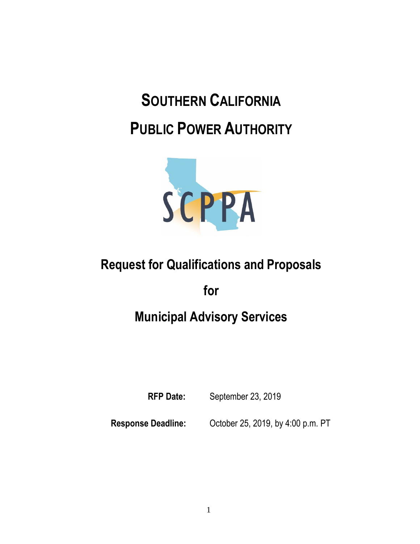# **SOUTHERN CALIFORNIA PUBLIC POWER AUTHORITY**



# **Request for Qualifications and Proposals**

**for** 

# **Municipal Advisory Services**

**RFP Date:** September 23, 2019

**Response Deadline:** October 25, 2019, by 4:00 p.m. PT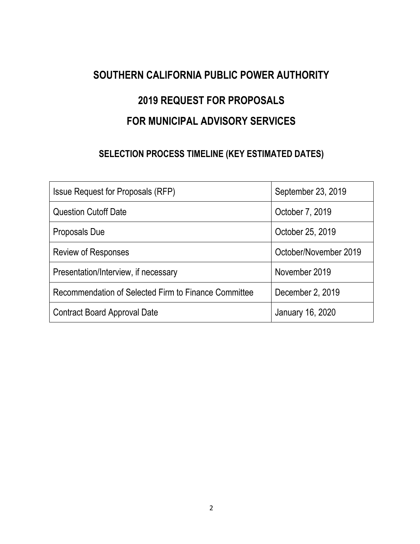### **SOUTHERN CALIFORNIA PUBLIC POWER AUTHORITY**

# **2019 REQUEST FOR PROPOSALS FOR MUNICIPAL ADVISORY SERVICES**

## **SELECTION PROCESS TIMELINE (KEY ESTIMATED DATES)**

| <b>Issue Request for Proposals (RFP)</b>             | September 23, 2019    |
|------------------------------------------------------|-----------------------|
| <b>Question Cutoff Date</b>                          | October 7, 2019       |
| Proposals Due                                        | October 25, 2019      |
| Review of Responses                                  | October/November 2019 |
| Presentation/Interview, if necessary                 | November 2019         |
| Recommendation of Selected Firm to Finance Committee | December 2, 2019      |
| Contract Board Approval Date                         | January 16, 2020      |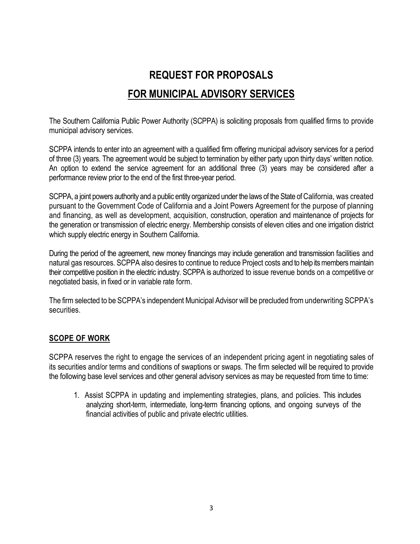# **REQUEST FOR PROPOSALS FOR MUNICIPAL ADVISORY SERVICES**

The Southern California Public Power Authority (SCPPA) is soliciting proposals from qualified firms to provide municipal advisory services.

SCPPA intends to enter into an agreement with a qualified firm offering municipal advisory services for a period of three (3) years. The agreement would be subject to termination by either party upon thirty days' written notice. An option to extend the service agreement for an additional three (3) years may be considered after a performance review prior to the end of the first three-year period.

SCPPA, a joint powers authority and a public entity organized under the laws of the State of California, was created pursuant to the Government Code of California and a Joint Powers Agreement for the purpose of planning and financing, as well as development, acquisition, construction, operation and maintenance of projects for the generation or transmission of electric energy. Membership consists of eleven cities and one irrigation district which supply electric energy in Southern California.

During the period of the agreement, new money financings may include generation and transmission facilities and natural gas resources. SCPPA also desires to continue to reduce Project costs and to help its members maintain their competitive position in the electric industry. SCPPA is authorized to issue revenue bonds on a competitive or negotiated basis, in fixed or in variable rate form.

The firm selected to be SCPPA's independent Municipal Advisor will be precluded from underwriting SCPPA's **securities** 

#### **SCOPE OF WORK**

SCPPA reserves the right to engage the services of an independent pricing agent in negotiating sales of its securities and/or terms and conditions of swaptions or swaps. The firm selected will be required to provide the following base level services and other general advisory services as may be requested from time to time:

1. Assist SCPPA in updating and implementing strategies, plans, and policies. This includes analyzing short-term, intermediate, long-term financing options, and ongoing surveys of the financial activities of public and private electric utilities.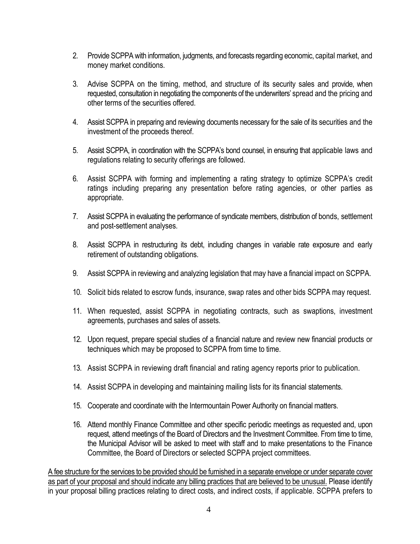- 2. Provide SCPPA with information, judgments, and forecasts regarding economic, capital market, and money market conditions.
- 3. Advise SCPPA on the timing, method, and structure of its security sales and provide, when requested, consultation in negotiating the components of the underwriters' spread and the pricing and other terms of the securities offered.
- 4. Assist SCPPA in preparing and reviewing documents necessary for the sale of its securities and the investment of the proceeds thereof.
- 5. Assist SCPPA, in coordination with the SCPPA's bond counsel, in ensuring that applicable laws and regulations relating to security offerings are followed.
- 6. Assist SCPPA with forming and implementing a rating strategy to optimize SCPPA's credit ratings including preparing any presentation before rating agencies, or other parties as appropriate.
- 7. Assist SCPPA in evaluating the performance of syndicate members, distribution of bonds, settlement and post-settlement analyses.
- 8. Assist SCPPA in restructuring its debt, including changes in variable rate exposure and early retirement of outstanding obligations.
- 9. Assist SCPPA in reviewing and analyzing legislation that may have a financial impact on SCPPA.
- 10. Solicit bids related to escrow funds, insurance, swap rates and other bids SCPPA may request.
- 11. When requested, assist SCPPA in negotiating contracts, such as swaptions, investment agreements, purchases and sales of assets.
- 12. Upon request, prepare special studies of a financial nature and review new financial products or techniques which may be proposed to SCPPA from time to time.
- 13. Assist SCPPA in reviewing draft financial and rating agency reports prior to publication.
- 14. Assist SCPPA in developing and maintaining mailing lists for its financial statements.
- 15. Cooperate and coordinate with the Intermountain Power Authority on financial matters.
- 16. Attend monthly Finance Committee and other specific periodic meetings as requested and, upon request, attend meetings of the Board of Directors and the Investment Committee. From time to time, the Municipal Advisor will be asked to meet with staff and to make presentations to the Finance Committee, the Board of Directors or selected SCPPA project committees.

A fee structure for the services to be provided should be furnished in a separate envelope or under separate cover as part of your proposal and should indicate any billing practices that are believed to be unusual. Please identify in your proposal billing practices relating to direct costs, and indirect costs, if applicable. SCPPA prefers to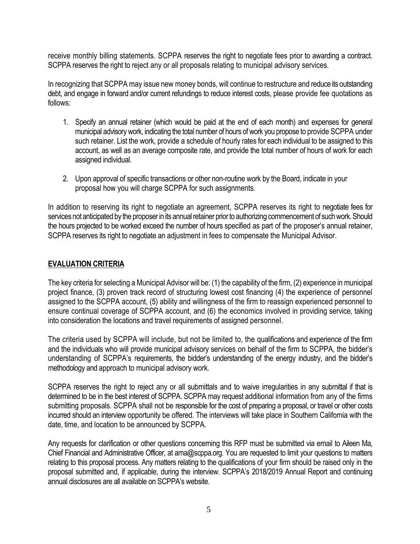receive monthly billing statements. SCPPA reserves the right to negotiate fees prior to awarding a contract. SCPPA reserves the right to reject any or all proposals relating to municipal advisory services.

In recognizing that SCPPA may issue new money bonds, will continue to restructure and reduce its outstanding debt, and engage in forward and/or current refundings to reduce interest costs, please provide fee quotations as follows:

- 1. Specify an annual retainer (which would be paid at the end of each month) and expenses for general municipal advisory work, indicating the total number of hours of work you propose to provide SCPPA under such retainer. List the work, provide a schedule of hourly rates for each individual to be assigned to this account, as well as an average composite rate, and provide the total number of hours of work for each assigned individual.
- 2. Upon approval of specific transactions or other non-routine work by the Board, indicate in your proposal how you will charge SCPPA for such assignments.

In addition to reserving its right to negotiate an agreement, SCPPA reserves its right to negotiate fees for services not anticipated by the proposer in its annual retainer prior to authorizing commencement of such work. Should the hours projected to be worked exceed the number of hours specified as part of the proposer's annual retainer, SCPPA reserves its right to negotiate an adjustment in fees to compensate the Municipal Advisor.

#### **EVALUATION CRITERIA**

The key criteria for selecting a Municipal Advisor will be: (1) the capability of the firm, (2) experience in municipal project finance, (3) proven track record of structuring lowest cost financing (4) the experience of personnel assigned to the SCPPA account, (5) ability and willingness of the firm to reassign experienced personnel to ensure continual coverage of SCPPA account, and (6) the economics involved in providing service, taking into consideration the locations and travel requirements of assigned personnel.

The criteria used by SCPPA will include, but not be limited to, the qualifications and experience of the firm and the individuals who will provide municipal advisory services on behalf of the firm to SCPPA, the bidder's understanding of SCPPA's requirements, the bidder's understanding of the energy industry, and the bidder's methodology and approach to municipal advisory work.

SCPPA reserves the right to reject any or all submittals and to waive irregularities in any submittal if that is determined to be in the best interest of SCPPA. SCPPA may request additional information from any of the firms submitting proposals. SCPPA shall not be responsible for the cost of preparing a proposal, or travel or other costs incurred should an interview opportunity be offered. The interviews will take place in Southern California with the date, time, and location to be announced by SCPPA.

Any requests for clarification or other questions concerning this RFP must be submitted via email to Aileen Ma, Chief Financial and Administrative Officer, at ama@scppa.org. You are requested to limit your questions to matters relating to this proposal process. Any matters relating to the qualifications of your firm should be raised only in the proposal submitted and, if applicable, during the interview. SCPPA's 2018/2019 Annual Report and continuing annual disclosures are all available on SCPPA's website.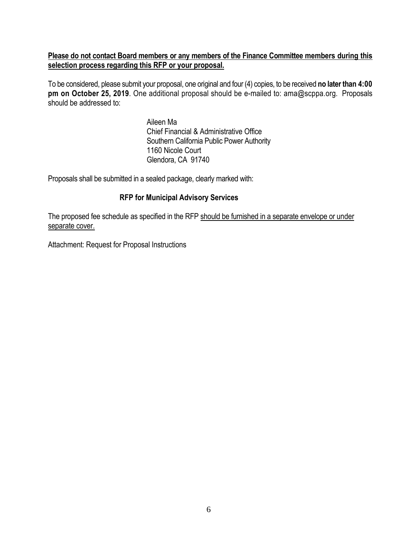#### **Please do not contact Board members or any members of the Finance Committee members during this selection process regarding this RFP or your proposal.**

To be considered, please submit your proposal, one original and four (4) copies, to be received **no later than 4:00 pm on October 25, 2019**. One additional proposal should be e-mailed to: ama@scppa.org. Proposals should be addressed to:

> Aileen Ma Chief Financial & Administrative Office Southern California Public Power Authority 1160 Nicole Court Glendora, CA 91740

Proposals shall be submitted in a sealed package, clearly marked with:

#### **RFP for Municipal Advisory Services**

The proposed fee schedule as specified in the RFP should be furnished in a separate envelope or under separate cover.

Attachment: Request for Proposal Instructions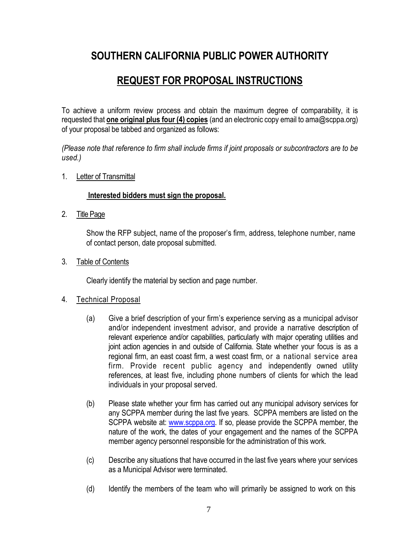### **SOUTHERN CALIFORNIA PUBLIC POWER AUTHORITY**

### **REQUEST FOR PROPOSAL INSTRUCTIONS**

To achieve a uniform review process and obtain the maximum degree of comparability, it is requested that **one original plus four (4) copies** (and an electronic copy email to ama@scppa.org) of your proposal be tabbed and organized as follows:

*(Please note that reference to firm shall include firms if joint proposals or subcontractors are to be used.)* 

1. Letter of Transmittal

#### **Interested bidders must sign the proposal.**

2. Title Page

Show the RFP subject, name of the proposer's firm, address, telephone number, name of contact person, date proposal submitted.

3. Table of Contents

Clearly identify the material by section and page number.

#### 4. Technical Proposal

- (a) Give a brief description of your firm's experience serving as a municipal advisor and/or independent investment advisor, and provide a narrative description of relevant experience and/or capabilities, particularly with major operating utilities and joint action agencies in and outside of California. State whether your focus is as a regional firm, an east coast firm, a west coast firm, or a national service area firm. Provide recent public agency and independently owned utility references, at least five, including phone numbers of clients for which the lead individuals in your proposal served.
- (b) Please state whether your firm has carried out any municipal advisory services for any SCPPA member during the last five years. SCPPA members are listed on the SCPPA website at: www.scppa.org. If so, please provide the SCPPA member, the nature of the work, the dates of your engagement and the names of the SCPPA member agency personnel responsible for the administration of this work.
- (c) Describe any situations that have occurred in the last five years where your services as a Municipal Advisor were terminated.
- (d) Identify the members of the team who will primarily be assigned to work on this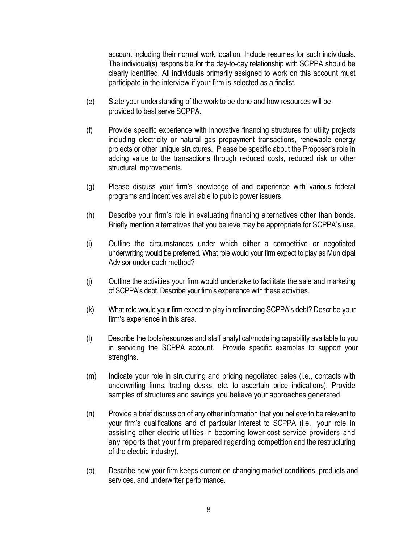account including their normal work location. Include resumes for such individuals. The individual(s) responsible for the day-to-day relationship with SCPPA should be clearly identified. All individuals primarily assigned to work on this account must participate in the interview if your firm is selected as a finalist.

- (e) State your understanding of the work to be done and how resources will be provided to best serve SCPPA.
- (f) Provide specific experience with innovative financing structures for utility projects including electricity or natural gas prepayment transactions, renewable energy projects or other unique structures. Please be specific about the Proposer's role in adding value to the transactions through reduced costs, reduced risk or other structural improvements.
- (g) Please discuss your firm's knowledge of and experience with various federal programs and incentives available to public power issuers.
- (h) Describe your firm's role in evaluating financing alternatives other than bonds. Briefly mention alternatives that you believe may be appropriate for SCPPA's use.
- (i) Outline the circumstances under which either a competitive or negotiated underwriting would be preferred. What role would your firm expect to play as Municipal Advisor under each method?
- (j) Outline the activities your firm would undertake to facilitate the sale and marketing of SCPPA's debt. Describe your firm's experience with these activities.
- (k) What role would your firm expect to play in refinancing SCPPA's debt? Describe your firm's experience in this area.
- (l) Describe the tools/resources and staff analytical/modeling capability available to you in servicing the SCPPA account. Provide specific examples to support your strengths.
- (m) Indicate your role in structuring and pricing negotiated sales (i.e., contacts with underwriting firms, trading desks, etc. to ascertain price indications). Provide samples of structures and savings you believe your approaches generated.
- (n) Provide a brief discussion of any other information that you believe to be relevant to your firm's qualifications and of particular interest to SCPPA (i.e., your role in assisting other electric utilities in becoming lower-cost service providers and any reports that your firm prepared regarding competition and the restructuring of the electric industry).
- (o) Describe how your firm keeps current on changing market conditions, products and services, and underwriter performance.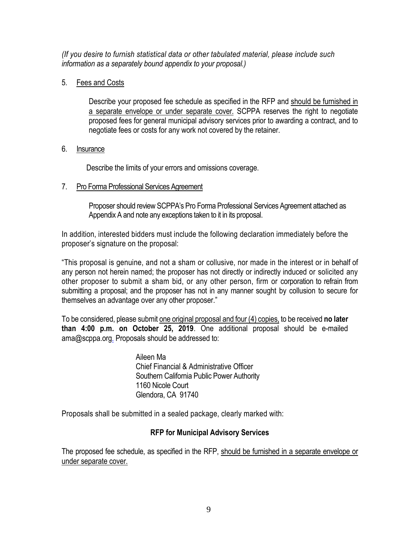*(If you desire to furnish statistical data or other tabulated material, please include such information as a separately bound appendix to your proposal.)* 

#### 5. Fees and Costs

Describe your proposed fee schedule as specified in the RFP and should be furnished in a separate envelope or under separate cover. SCPPA reserves the right to negotiate proposed fees for general municipal advisory services prior to awarding a contract, and to negotiate fees or costs for any work not covered by the retainer.

#### 6. Insurance

Describe the limits of your errors and omissions coverage.

#### 7. Pro Forma Professional Services Agreement

Proposer should review SCPPA's Pro Forma Professional Services Agreement attached as Appendix A and note any exceptions taken to it in its proposal.

In addition, interested bidders must include the following declaration immediately before the proposer's signature on the proposal:

"This proposal is genuine, and not a sham or collusive, nor made in the interest or in behalf of any person not herein named; the proposer has not directly or indirectly induced or solicited any other proposer to submit a sham bid, or any other person, firm or corporation to refrain from submitting a proposal; and the proposer has not in any manner sought by collusion to secure for themselves an advantage over any other proposer."

To be considered, please submit one original proposal and four (4) copies, to be received **no later than 4:00 p.m. on October 25, 2019**. One additional proposal should be e-mailed ama@scppa.org. Proposals should be addressed to:

> Aileen Ma Chief Financial & Administrative Officer Southern California Public Power Authority 1160 Nicole Court Glendora, CA 91740

Proposals shall be submitted in a sealed package, clearly marked with:

#### **RFP for Municipal Advisory Services**

The proposed fee schedule, as specified in the RFP, should be furnished in a separate envelope or under separate cover.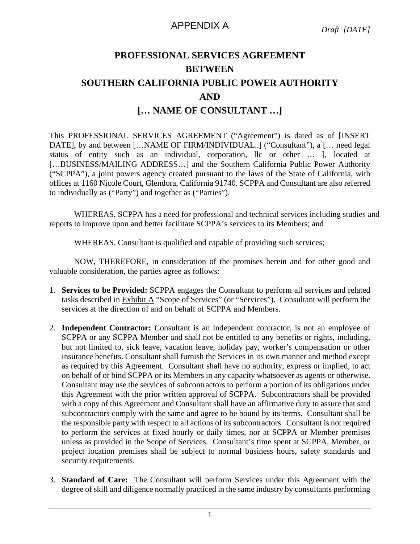#### APPENDIX A

### **PROFESSIONAL SERVICES AGREEMENT BETWEEN SOUTHERN CALIFORNIA PUBLIC POWER AUTHORITY AND [… NAME OF CONSULTANT …]**

This PROFESSIONAL SERVICES AGREEMENT ("Agreement") is dated as of [INSERT DATE], by and between [...NAME OF FIRM/INDIVIDUAL..] ("Consultant"), a [... need legal status of entity such as an individual, corporation, llc or other … ], located at […BUSINESS/MAILING ADDRESS…] and the Southern California Public Power Authority ("SCPPA"), a joint powers agency created pursuant to the laws of the State of California, with offices at 1160 Nicole Court, Glendora, California 91740. SCPPA and Consultant are also referred to individually as ("Party") and together as ("Parties").

WHEREAS, SCPPA has a need for professional and technical services including studies and reports to improve upon and better facilitate SCPPA's services to its Members; and

WHEREAS, Consultant is qualified and capable of providing such services;

NOW, THEREFORE, in consideration of the promises herein and for other good and valuable consideration, the parties agree as follows:

- 1. **Services to be Provided:** SCPPA engages the Consultant to perform all services and related tasks described in Exhibit A "Scope of Services" (or "Services"). Consultant will perform the services at the direction of and on behalf of SCPPA and Members.
- 2. **Independent Contractor:** Consultant is an independent contractor, is not an employee of SCPPA or any SCPPA Member and shall not be entitled to any benefits or rights, including, but not limited to, sick leave, vacation leave, holiday pay, worker's compensation or other insurance benefits. Consultant shall furnish the Services in its own manner and method except as required by this Agreement. Consultant shall have no authority, express or implied, to act on behalf of or bind SCPPA or its Members in any capacity whatsoever as agents or otherwise. Consultant may use the services of subcontractors to perform a portion of its obligations under this Agreement with the prior written approval of SCPPA. Subcontractors shall be provided with a copy of this Agreement and Consultant shall have an affirmative duty to assure that said subcontractors comply with the same and agree to be bound by its terms. Consultant shall be the responsible party with respect to all actions of its subcontractors. Consultant is not required to perform the services at fixed hourly or daily times, nor at SCPPA or Member premises unless as provided in the Scope of Services. Consultant's time spent at SCPPA, Member, or project location premises shall be subject to normal business hours, safety standards and security requirements.
- 3. **Standard of Care:** The Consultant will perform Services under this Agreement with the degree of skill and diligence normally practiced in the same industry by consultants performing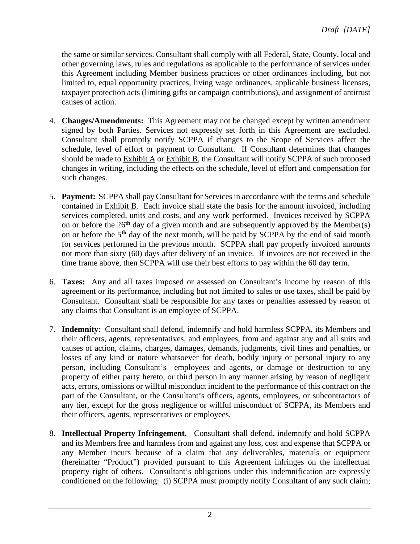the same or similar services. Consultant shall comply with all Federal, State, County, local and other governing laws, rules and regulations as applicable to the performance of services under this Agreement including Member business practices or other ordinances including, but not limited to, equal opportunity practices, living wage ordinances, applicable business licenses, taxpayer protection acts (limiting gifts or campaign contributions), and assignment of antitrust causes of action.

- 4. **Changes/Amendments:** This Agreement may not be changed except by written amendment signed by both Parties. Services not expressly set forth in this Agreement are excluded. Consultant shall promptly notify SCPPA if changes to the Scope of Services affect the schedule, level of effort or payment to Consultant. If Consultant determines that changes should be made to Exhibit A or Exhibit B, the Consultant will notify SCPPA of such proposed changes in writing, including the effects on the schedule, level of effort and compensation for such changes.
- 5. **Payment:** SCPPA shall pay Consultant for Services in accordance with the terms and schedule contained in Exhibit B. Each invoice shall state the basis for the amount invoiced, including services completed, units and costs, and any work performed. Invoices received by SCPPA on or before the 26**th** day of a given month and are subsequently approved by the Member(s) on or before the 5**th** day of the next month, will be paid by SCPPA by the end of said month for services performed in the previous month. SCPPA shall pay properly invoiced amounts not more than sixty (60) days after delivery of an invoice. If invoices are not received in the time frame above, then SCPPA will use their best efforts to pay within the 60 day term.
- 6. **Taxes:** Any and all taxes imposed or assessed on Consultant's income by reason of this agreement or its performance, including but not limited to sales or use taxes, shall be paid by Consultant. Consultant shall be responsible for any taxes or penalties assessed by reason of any claims that Consultant is an employee of SCPPA.
- 7. **Indemnity**: Consultant shall defend, indemnify and hold harmless SCPPA, its Members and their officers, agents, representatives, and employees, from and against any and all suits and causes of action, claims, charges, damages, demands, judgments, civil fines and penalties, or losses of any kind or nature whatsoever for death, bodily injury or personal injury to any person, including Consultant's employees and agents, or damage or destruction to any property of either party hereto, or third person in any manner arising by reason of negligent acts, errors, omissions or willful misconduct incident to the performance of this contract on the part of the Consultant, or the Consultant's officers, agents, employees, or subcontractors of any tier, except for the gross negligence or willful misconduct of SCPPA, its Members and their officers, agents, representatives or employees.
- 8. **Intellectual Property Infringement.** Consultant shall defend, indemnify and hold SCPPA and its Members free and harmless from and against any loss, cost and expense that SCPPA or any Member incurs because of a claim that any deliverables, materials or equipment (hereinafter "Product") provided pursuant to this Agreement infringes on the intellectual property right of others. Consultant's obligations under this indemnification are expressly conditioned on the following: (i) SCPPA must promptly notify Consultant of any such claim;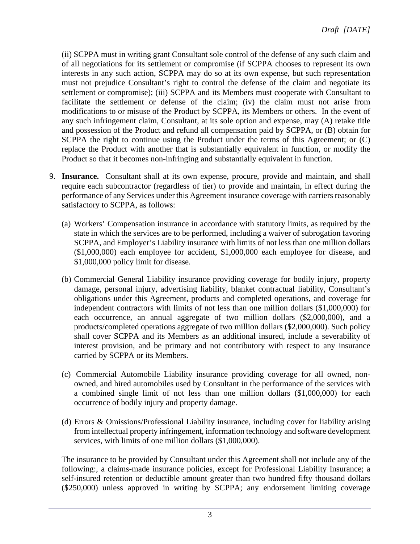(ii) SCPPA must in writing grant Consultant sole control of the defense of any such claim and of all negotiations for its settlement or compromise (if SCPPA chooses to represent its own interests in any such action, SCPPA may do so at its own expense, but such representation must not prejudice Consultant's right to control the defense of the claim and negotiate its settlement or compromise); (iii) SCPPA and its Members must cooperate with Consultant to facilitate the settlement or defense of the claim; (iv) the claim must not arise from modifications to or misuse of the Product by SCPPA, its Members or others. In the event of any such infringement claim, Consultant, at its sole option and expense, may (A) retake title and possession of the Product and refund all compensation paid by SCPPA, or (B) obtain for SCPPA the right to continue using the Product under the terms of this Agreement; or (C) replace the Product with another that is substantially equivalent in function, or modify the Product so that it becomes non-infringing and substantially equivalent in function.

- 9. **Insurance.** Consultant shall at its own expense, procure, provide and maintain, and shall require each subcontractor (regardless of tier) to provide and maintain, in effect during the performance of any Services under this Agreement insurance coverage with carriers reasonably satisfactory to SCPPA, as follows:
	- (a) Workers' Compensation insurance in accordance with statutory limits, as required by the state in which the services are to be performed, including a waiver of subrogation favoring SCPPA, and Employer's Liability insurance with limits of not less than one million dollars (\$1,000,000) each employee for accident, \$1,000,000 each employee for disease, and \$1,000,000 policy limit for disease.
	- (b) Commercial General Liability insurance providing coverage for bodily injury, property damage, personal injury, advertising liability, blanket contractual liability, Consultant's obligations under this Agreement, products and completed operations, and coverage for independent contractors with limits of not less than one million dollars (\$1,000,000) for each occurrence, an annual aggregate of two million dollars (\$2,000,000), and a products/completed operations aggregate of two million dollars (\$2,000,000). Such policy shall cover SCPPA and its Members as an additional insured, include a severability of interest provision, and be primary and not contributory with respect to any insurance carried by SCPPA or its Members.
	- (c) Commercial Automobile Liability insurance providing coverage for all owned, nonowned, and hired automobiles used by Consultant in the performance of the services with a combined single limit of not less than one million dollars (\$1,000,000) for each occurrence of bodily injury and property damage.
	- (d) Errors & Omissions/Professional Liability insurance, including cover for liability arising from intellectual property infringement, information technology and software development services, with limits of one million dollars (\$1,000,000).

The insurance to be provided by Consultant under this Agreement shall not include any of the following:, a claims-made insurance policies, except for Professional Liability Insurance; a self-insured retention or deductible amount greater than two hundred fifty thousand dollars (\$250,000) unless approved in writing by SCPPA; any endorsement limiting coverage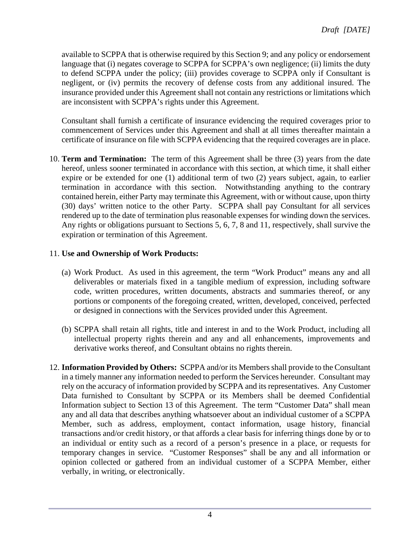available to SCPPA that is otherwise required by this Section 9; and any policy or endorsement language that (i) negates coverage to SCPPA for SCPPA's own negligence; (ii) limits the duty to defend SCPPA under the policy; (iii) provides coverage to SCPPA only if Consultant is negligent, or (iv) permits the recovery of defense costs from any additional insured. The insurance provided under this Agreement shall not contain any restrictions or limitations which are inconsistent with SCPPA's rights under this Agreement.

Consultant shall furnish a certificate of insurance evidencing the required coverages prior to commencement of Services under this Agreement and shall at all times thereafter maintain a certificate of insurance on file with SCPPA evidencing that the required coverages are in place.

10. **Term and Termination:** The term of this Agreement shall be three (3) years from the date hereof, unless sooner terminated in accordance with this section, at which time, it shall either expire or be extended for one (1) additional term of two (2) years subject, again, to earlier termination in accordance with this section. Notwithstanding anything to the contrary contained herein, either Party may terminate this Agreement, with or without cause, upon thirty (30) days' written notice to the other Party. SCPPA shall pay Consultant for all services rendered up to the date of termination plus reasonable expenses for winding down the services. Any rights or obligations pursuant to Sections 5, 6, 7, 8 and 11, respectively, shall survive the expiration or termination of this Agreement.

#### 11. **Use and Ownership of Work Products:**

- (a) Work Product. As used in this agreement, the term "Work Product" means any and all deliverables or materials fixed in a tangible medium of expression, including software code, written procedures, written documents, abstracts and summaries thereof, or any portions or components of the foregoing created, written, developed, conceived, perfected or designed in connections with the Services provided under this Agreement.
- (b) SCPPA shall retain all rights, title and interest in and to the Work Product, including all intellectual property rights therein and any and all enhancements, improvements and derivative works thereof, and Consultant obtains no rights therein.
- 12. **Information Provided by Others:** SCPPA and/or its Members shall provide to the Consultant in a timely manner any information needed to perform the Services hereunder. Consultant may rely on the accuracy of information provided by SCPPA and its representatives. Any Customer Data furnished to Consultant by SCPPA or its Members shall be deemed Confidential Information subject to Section 13 of this Agreement. The term "Customer Data" shall mean any and all data that describes anything whatsoever about an individual customer of a SCPPA Member, such as address, employment, contact information, usage history, financial transactions and/or credit history, or that affords a clear basis for inferring things done by or to an individual or entity such as a record of a person's presence in a place, or requests for temporary changes in service. "Customer Responses" shall be any and all information or opinion collected or gathered from an individual customer of a SCPPA Member, either verbally, in writing, or electronically.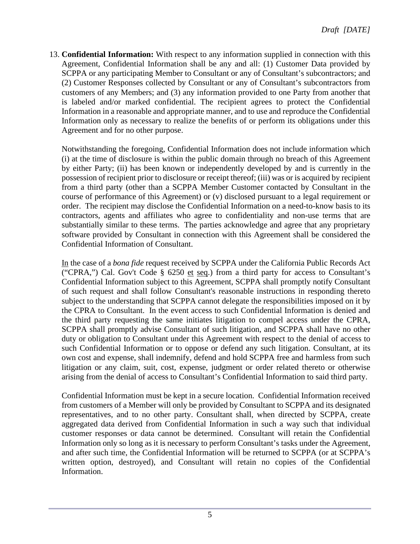13. **Confidential Information:** With respect to any information supplied in connection with this Agreement, Confidential Information shall be any and all: (1) Customer Data provided by SCPPA or any participating Member to Consultant or any of Consultant's subcontractors; and (2) Customer Responses collected by Consultant or any of Consultant's subcontractors from customers of any Members; and (3) any information provided to one Party from another that is labeled and/or marked confidential. The recipient agrees to protect the Confidential Information in a reasonable and appropriate manner, and to use and reproduce the Confidential Information only as necessary to realize the benefits of or perform its obligations under this Agreement and for no other purpose.

Notwithstanding the foregoing, Confidential Information does not include information which (i) at the time of disclosure is within the public domain through no breach of this Agreement by either Party; (ii) has been known or independently developed by and is currently in the possession of recipient prior to disclosure or receipt thereof; (iii) was or is acquired by recipient from a third party (other than a SCPPA Member Customer contacted by Consultant in the course of performance of this Agreement) or (v) disclosed pursuant to a legal requirement or order. The recipient may disclose the Confidential Information on a need-to-know basis to its contractors, agents and affiliates who agree to confidentiality and non-use terms that are substantially similar to these terms. The parties acknowledge and agree that any proprietary software provided by Consultant in connection with this Agreement shall be considered the Confidential Information of Consultant.

In the case of a *bona fide* request received by SCPPA under the California Public Records Act ("CPRA,") Cal. Gov't Code § 6250 et seq.) from a third party for access to Consultant's Confidential Information subject to this Agreement, SCPPA shall promptly notify Consultant of such request and shall follow Consultant's reasonable instructions in responding thereto subject to the understanding that SCPPA cannot delegate the responsibilities imposed on it by the CPRA to Consultant. In the event access to such Confidential Information is denied and the third party requesting the same initiates litigation to compel access under the CPRA, SCPPA shall promptly advise Consultant of such litigation, and SCPPA shall have no other duty or obligation to Consultant under this Agreement with respect to the denial of access to such Confidential Information or to oppose or defend any such litigation. Consultant, at its own cost and expense, shall indemnify, defend and hold SCPPA free and harmless from such litigation or any claim, suit, cost, expense, judgment or order related thereto or otherwise arising from the denial of access to Consultant's Confidential Information to said third party.

Confidential Information must be kept in a secure location. Confidential Information received from customers of a Member will only be provided by Consultant to SCPPA and its designated representatives, and to no other party. Consultant shall, when directed by SCPPA, create aggregated data derived from Confidential Information in such a way such that individual customer responses or data cannot be determined. Consultant will retain the Confidential Information only so long as it is necessary to perform Consultant's tasks under the Agreement, and after such time, the Confidential Information will be returned to SCPPA (or at SCPPA's written option, destroyed), and Consultant will retain no copies of the Confidential Information.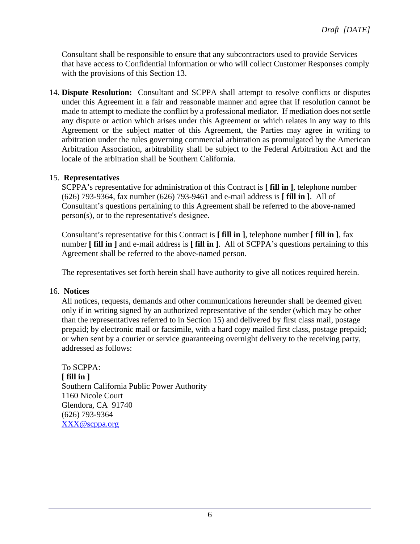Consultant shall be responsible to ensure that any subcontractors used to provide Services that have access to Confidential Information or who will collect Customer Responses comply with the provisions of this Section 13.

14. **Dispute Resolution:** Consultant and SCPPA shall attempt to resolve conflicts or disputes under this Agreement in a fair and reasonable manner and agree that if resolution cannot be made to attempt to mediate the conflict by a professional mediator. If mediation does not settle any dispute or action which arises under this Agreement or which relates in any way to this Agreement or the subject matter of this Agreement, the Parties may agree in writing to arbitration under the rules governing commercial arbitration as promulgated by the American Arbitration Association, arbitrability shall be subject to the Federal Arbitration Act and the locale of the arbitration shall be Southern California.

#### 15. **Representatives**

SCPPA's representative for administration of this Contract is **[ fill in ]**, telephone number (626) 793-9364, fax number (626) 793-9461 and e-mail address is **[ fill in ]**. All of Consultant's questions pertaining to this Agreement shall be referred to the above-named person(s), or to the representative's designee.

Consultant's representative for this Contract is **[ fill in ]**, telephone number **[ fill in ]**, fax number **[ fill in ]** and e-mail address is **[ fill in ]**. All of SCPPA's questions pertaining to this Agreement shall be referred to the above-named person.

The representatives set forth herein shall have authority to give all notices required herein.

#### 16. **Notices**

All notices, requests, demands and other communications hereunder shall be deemed given only if in writing signed by an authorized representative of the sender (which may be other than the representatives referred to in Section 15) and delivered by first class mail, postage prepaid; by electronic mail or facsimile, with a hard copy mailed first class, postage prepaid; or when sent by a courier or service guaranteeing overnight delivery to the receiving party, addressed as follows:

To SCPPA: **[ fill in ]**  Southern California Public Power Authority 1160 Nicole Court Glendora, CA 91740 (626) 793-9364 XXX@scppa.org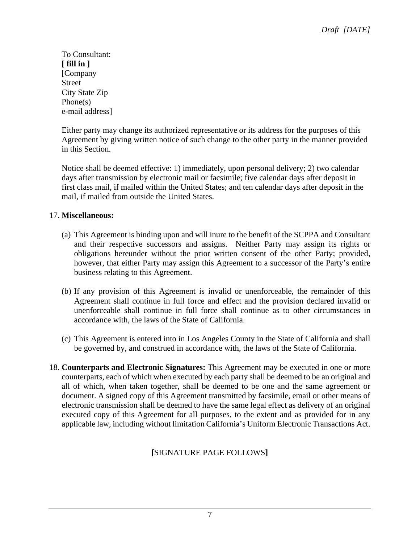To Consultant: **[ fill in ]** [Company Street City State Zip Phone(s) e-mail address]

Either party may change its authorized representative or its address for the purposes of this Agreement by giving written notice of such change to the other party in the manner provided in this Section.

Notice shall be deemed effective: 1) immediately, upon personal delivery; 2) two calendar days after transmission by electronic mail or facsimile; five calendar days after deposit in first class mail, if mailed within the United States; and ten calendar days after deposit in the mail, if mailed from outside the United States.

#### 17. **Miscellaneous:**

- (a) This Agreement is binding upon and will inure to the benefit of the SCPPA and Consultant and their respective successors and assigns. Neither Party may assign its rights or obligations hereunder without the prior written consent of the other Party; provided, however, that either Party may assign this Agreement to a successor of the Party's entire business relating to this Agreement.
- (b) If any provision of this Agreement is invalid or unenforceable, the remainder of this Agreement shall continue in full force and effect and the provision declared invalid or unenforceable shall continue in full force shall continue as to other circumstances in accordance with, the laws of the State of California.
- (c) This Agreement is entered into in Los Angeles County in the State of California and shall be governed by, and construed in accordance with, the laws of the State of California.
- 18. **Counterparts and Electronic Signatures:** This Agreement may be executed in one or more counterparts, each of which when executed by each party shall be deemed to be an original and all of which, when taken together, shall be deemed to be one and the same agreement or document. A signed copy of this Agreement transmitted by facsimile, email or other means of electronic transmission shall be deemed to have the same legal effect as delivery of an original executed copy of this Agreement for all purposes, to the extent and as provided for in any applicable law, including without limitation California's Uniform Electronic Transactions Act.

#### **[**SIGNATURE PAGE FOLLOWS**]**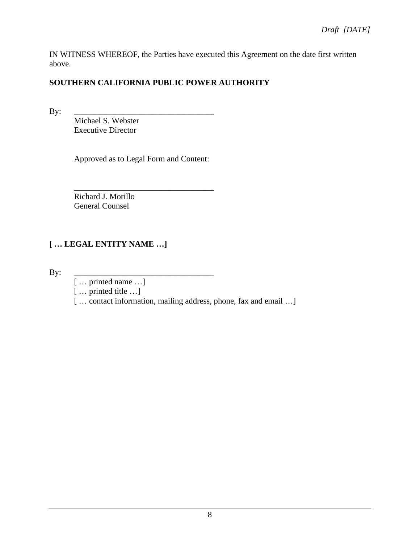IN WITNESS WHEREOF, the Parties have executed this Agreement on the date first written above.

#### **SOUTHERN CALIFORNIA PUBLIC POWER AUTHORITY**

By: \_\_\_\_\_\_\_\_\_\_\_\_\_\_\_\_\_\_\_\_\_\_\_\_\_\_\_\_\_\_\_\_\_\_

Michael S. Webster Executive Director

Approved as to Legal Form and Content:

\_\_\_\_\_\_\_\_\_\_\_\_\_\_\_\_\_\_\_\_\_\_\_\_\_\_\_\_\_\_\_\_\_\_ Richard J. Morillo General Counsel

#### **[ … LEGAL ENTITY NAME …]**

By: \_\_\_\_\_\_\_\_\_\_\_\_\_\_\_\_\_\_\_\_\_\_\_\_\_\_\_\_\_\_\_\_\_\_

[ … printed name …]

[ … printed title …]

[... contact information, mailing address, phone, fax and email ...]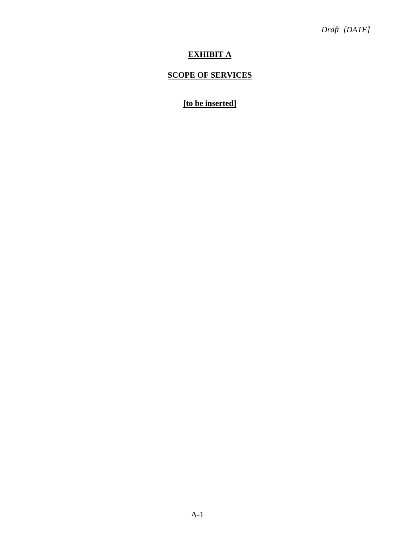#### **EXHIBIT A**

#### **SCOPE OF SERVICES**

#### **[to be inserted]**